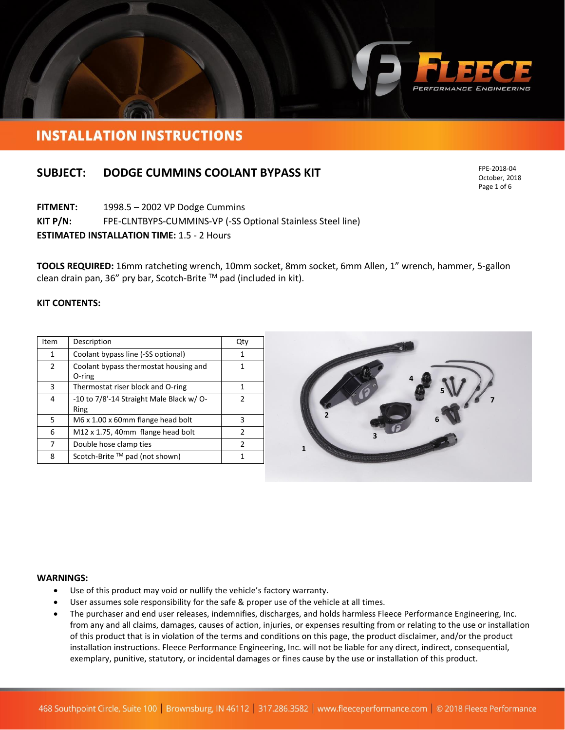

## **INSTALLATION INSTRUCTIONS**

### **SUBJECT: DODGE CUMMINS COOLANT BYPASS KIT**

**FITMENT:** 1998.5 – 2002 VP Dodge Cummins

**KIT P/N:** FPE-CLNTBYPS-CUMMINS-VP (-SS Optional Stainless Steel line)

**ESTIMATED INSTALLATION TIME:** 1.5 - 2 Hours

**TOOLS REQUIRED:** 16mm ratcheting wrench, 10mm socket, 8mm socket, 6mm Allen, 1" wrench, hammer, 5-gallon clean drain pan, 36" pry bar, Scotch-Brite TM pad (included in kit).

#### **KIT CONTENTS:**

| Item | Description                                      | Qty           |
|------|--------------------------------------------------|---------------|
| 1    | Coolant bypass line (-SS optional)               | 1             |
| 2    | Coolant bypass thermostat housing and<br>O-ring  |               |
| 3    | Thermostat riser block and O-ring                |               |
| 4    | -10 to 7/8'-14 Straight Male Black w/ O-<br>Ring | 2             |
| 5    | M6 x 1.00 x 60mm flange head bolt                | 3             |
| 6    | M12 x 1.75, 40mm flange head bolt                | $\mathcal{P}$ |
| 7    | Double hose clamp ties                           | 2             |
| 8    | Scotch-Brite $TM$ pad (not shown)                |               |



#### **WARNINGS:**

- Use of this product may void or nullify the vehicle's factory warranty.
- User assumes sole responsibility for the safe & proper use of the vehicle at all times.
- The purchaser and end user releases, indemnifies, discharges, and holds harmless Fleece Performance Engineering, Inc. from any and all claims, damages, causes of action, injuries, or expenses resulting from or relating to the use or installation of this product that is in violation of the terms and conditions on this page, the product disclaimer, and/or the product installation instructions. Fleece Performance Engineering, Inc. will not be liable for any direct, indirect, consequential, exemplary, punitive, statutory, or incidental damages or fines cause by the use or installation of this product.

FPE-2018-04 October, 2018 Page 1 of 6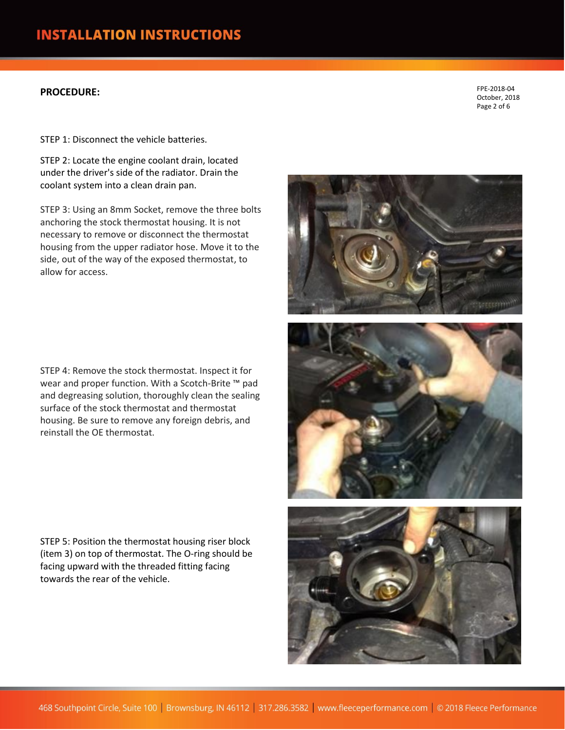### **PROCEDURE:**

FPE-2018-04 October, 2018 Page 2 of 6

STEP 1: Disconnect the vehicle batteries.

STEP 2: Locate the engine coolant drain, located under the driver's side of the radiator. Drain the coolant system into a clean drain pan.

STEP 3: Using an 8mm Socket, remove the three bolts anchoring the stock thermostat housing. It is not necessary to remove or disconnect the thermostat housing from the upper radiator hose. Move it to the side, out of the way of the exposed thermostat, to allow for access.

STEP 4: Remove the stock thermostat. Inspect it for wear and proper function. With a Scotch-Brite ™ pad and degreasing solution, thoroughly clean the sealing surface of the stock thermostat and thermostat housing. Be sure to remove any foreign debris, and reinstall the OE thermostat.

STEP 5: Position the thermostat housing riser block (item 3) on top of thermostat. The O-ring should be facing upward with the threaded fitting facing towards the rear of the vehicle.

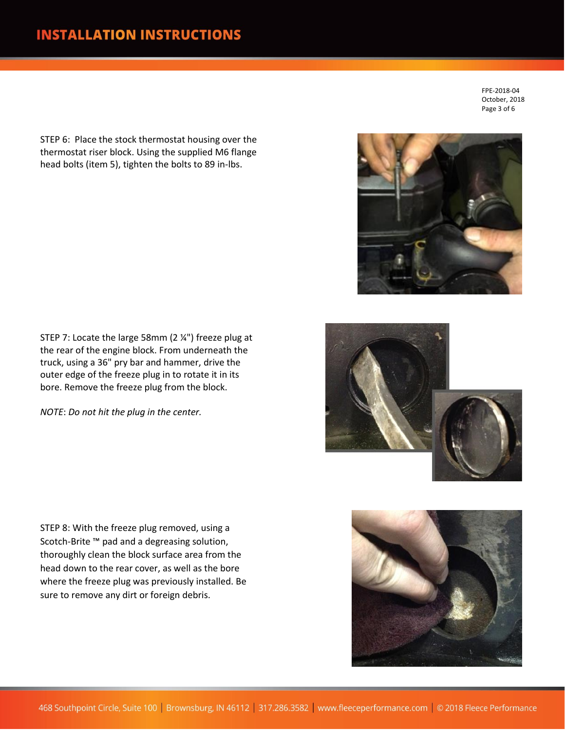STEP 6: Place the stock thermostat housing over the thermostat riser block. Using the supplied M6 flange head bolts (item 5), tighten the bolts to 89 in-lbs.

FPE-2018-04 October, 2018 Page 3 of 6

STEP 7: Locate the large 58mm (2 ¼") freeze plug at the rear of the engine block. From underneath the truck, using a 36" pry bar and hammer, drive the outer edge of the freeze plug in to rotate it in its bore. Remove the freeze plug from the block.

*NOTE*: *Do not hit the plug in the center.*

STEP 8: With the freeze plug removed, using a Scotch-Brite ™ pad and a degreasing solution, thoroughly clean the block surface area from the head down to the rear cover, as well as the bore where the freeze plug was previously installed. Be sure to remove any dirt or foreign debris.





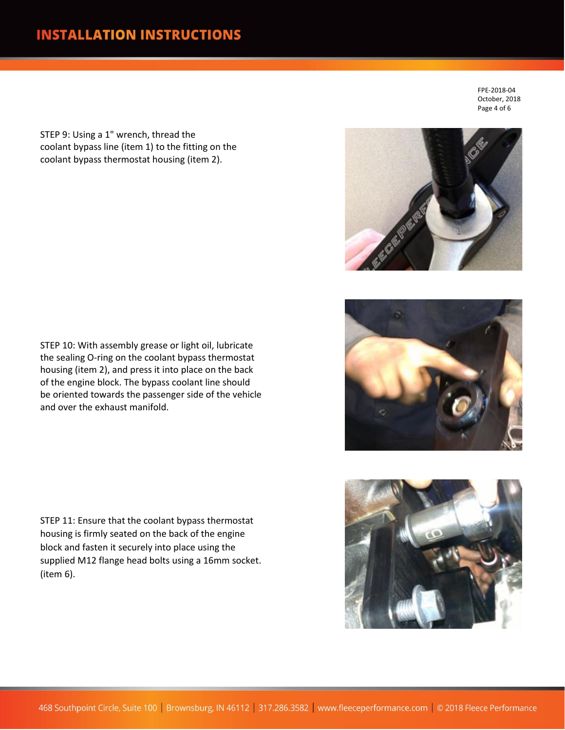# **INSTALLATION INSTRUCTIONS**

STEP 9: Using a 1" wrench, thread the coolant bypass line (item 1) to the fitting on the coolant bypass thermostat housing (item 2).

FPE-2018-04 October, 2018 Page 4 of 6







STEP 10: With assembly grease or light oil, lubricate the sealing O-ring on the coolant bypass thermostat housing (item 2), and press it into place on the back of the engine block. The bypass coolant line should be oriented towards the passenger side of the vehicle and over the exhaust manifold.

STEP 11: Ensure that the coolant bypass thermostat housing is firmly seated on the back of the engine block and fasten it securely into place using the supplied M12 flange head bolts using a 16mm socket. (item 6).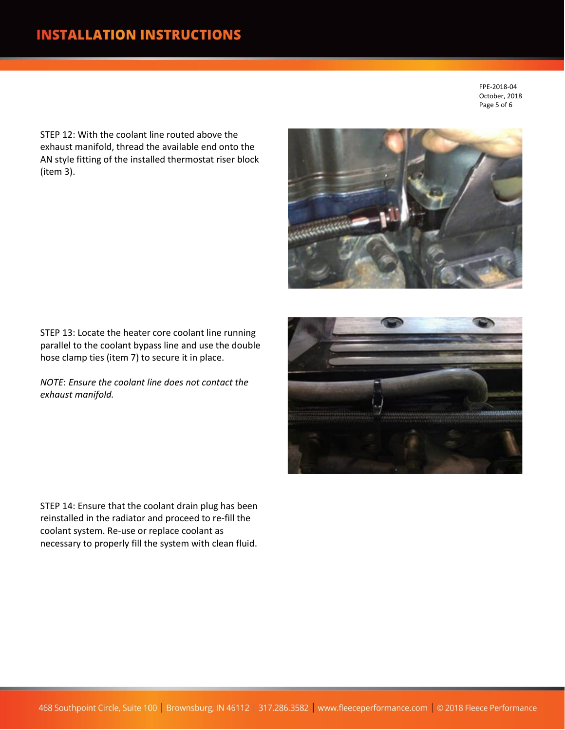FPE-2018-04 October, 2018 Page 5 of 6

STEP 12: With the coolant line routed above the exhaust manifold, thread the available end onto the AN style fitting of the installed thermostat riser block (item 3).



STEP 13: Locate the heater core coolant line running parallel to the coolant bypass line and use the double hose clamp ties (item 7) to secure it in place.

*NOTE*: *Ensure the coolant line does not contact the exhaust manifold.*

STEP 14: Ensure that the coolant drain plug has been reinstalled in the radiator and proceed to re-fill the coolant system. Re-use or replace coolant as necessary to properly fill the system with clean fluid.